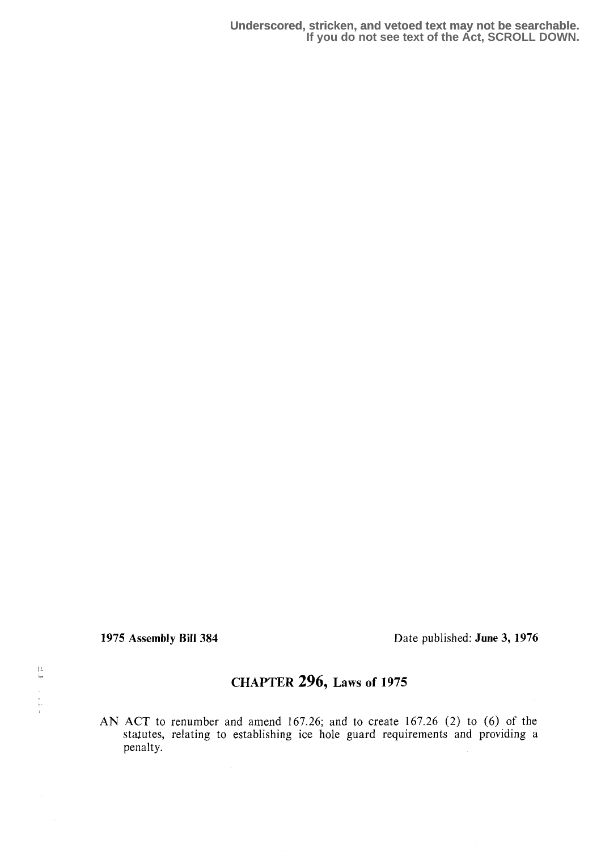$\frac{13}{12}$ 

1975 Assembly Bill 384 Date published: June 3, 1976

## CHAPTER 296, Laws of 1975

AN ACT to renumber and amend 167.26; and to create 167.26 (2) to (6) of the staxutes, relating to establishing ice hole guard requirements and providing a penalty.